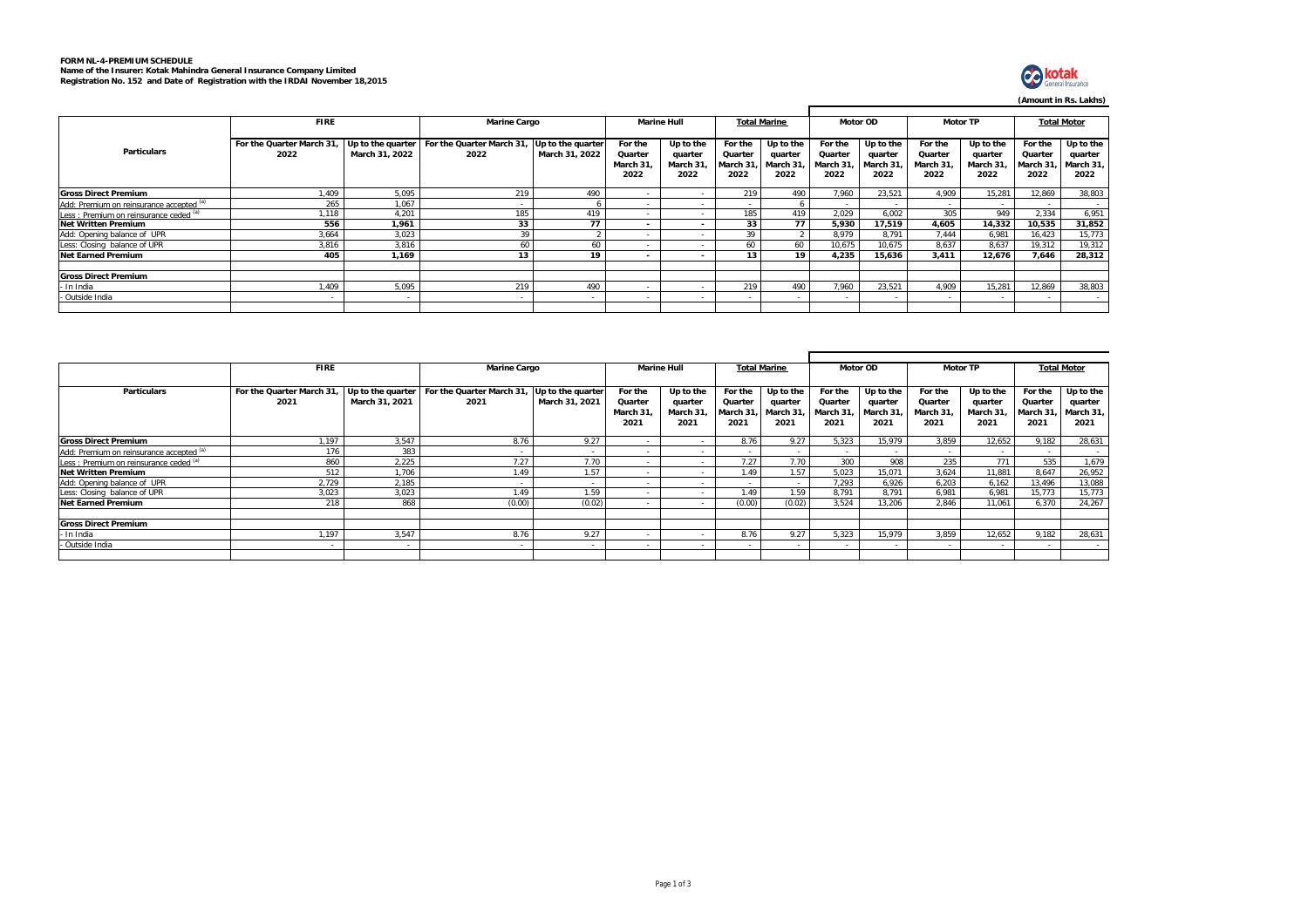## **FORM NL-4-PREMIUM SCHEDULE Name of the Insurer: Kotak Mahindra General Insurance Company Limited Registration No. 152 and Date of Registration with the IRDAI November 18,2015**



**(Amount in Rs. Lakhs)**

|                                          | <b>FIRE</b>                      |                                     | <b>Marine Cargo</b>               |                                     | <b>Marine Hull</b>                     |                                          | <b>Total Marine</b>                    |                                           | Motor OD                               |                                          | <b>Motor TP</b>                        |                                          | <b>Total Motor</b>                     |                                           |  |
|------------------------------------------|----------------------------------|-------------------------------------|-----------------------------------|-------------------------------------|----------------------------------------|------------------------------------------|----------------------------------------|-------------------------------------------|----------------------------------------|------------------------------------------|----------------------------------------|------------------------------------------|----------------------------------------|-------------------------------------------|--|
| <b>Particulars</b>                       | For the Quarter March 31<br>2022 | Up to the quarter<br>March 31, 2022 | For the Quarter March 31,<br>2022 | Up to the quarter<br>March 31, 2022 | For the<br>Quarter<br>March 31<br>2022 | Up to the<br>quarter<br>March 31<br>2022 | For the<br>Quarter<br>March 31<br>2022 | Up to the<br>quarter<br>March 31,<br>2022 | For the<br>Quarter<br>March 31<br>2022 | Up to the<br>quarter<br>March 31<br>2022 | For the<br>Quarter<br>March 31<br>2022 | Up to the<br>quarter<br>March 31<br>2022 | For the<br>Quarter<br>March 31<br>2022 | Up to the<br>quarter<br>March 31,<br>2022 |  |
| <b>Gross Direct Premium</b>              | 1.409                            | 5.095                               | 219                               | 490                                 |                                        |                                          | 219                                    | 490                                       | 7.960                                  | 23.521                                   | 4.909                                  | 15.281                                   | 12,869                                 | 38,803                                    |  |
| Add: Premium on reinsurance accepted (a) | 265                              | 1.067                               |                                   |                                     |                                        |                                          |                                        |                                           | $\sim$                                 |                                          |                                        |                                          |                                        |                                           |  |
| Less: Premium on reinsurance ceded (a)   | 1.118                            | 4.201                               | 185                               | 419                                 |                                        |                                          | 185                                    | 419                                       | 2.029                                  | 6.002                                    | 305                                    | 949                                      | 2.334                                  | 6,951                                     |  |
| <b>Net Written Premium</b>               | 556                              | 1,961                               | 33                                | 77                                  | $\sim$                                 | $\overline{\phantom{a}}$                 | 33                                     | 77                                        | 5,930                                  | 17,519                                   | 4,605                                  | 14,332                                   | 10,535                                 | 31,852                                    |  |
| Add: Opening balance of UPR              | 3.664                            | 3,023                               | 39                                |                                     |                                        |                                          | 39                                     |                                           | 8.979                                  | 8.791                                    | 7.444                                  | 6.981                                    | 16,423                                 | 15,773                                    |  |
| Less: Closing balance of UPR             | 3.816                            | 3.816                               |                                   | 60                                  |                                        |                                          | 60                                     | 60                                        | 10,675                                 | 10.675                                   | 8.637                                  | 8.637                                    | 19,312                                 | 19,312                                    |  |
| <b>Net Earned Premium</b>                | 405                              | 1,169                               | 13                                | 19                                  | $\overline{\phantom{0}}$               |                                          | 13                                     | 19                                        | 4,235                                  | 15,636                                   | 3.411                                  | 12.676                                   | 7,646                                  | 28,312                                    |  |
|                                          |                                  |                                     |                                   |                                     |                                        |                                          |                                        |                                           |                                        |                                          |                                        |                                          |                                        |                                           |  |
| <b>Gross Direct Premium</b>              |                                  |                                     |                                   |                                     |                                        |                                          |                                        |                                           |                                        |                                          |                                        |                                          |                                        |                                           |  |
| In India                                 | 1.409                            | 5.095                               | 219                               | 490                                 |                                        |                                          | 219                                    | 490                                       | 7.960                                  | 23.521                                   | 4.909                                  | 15.281                                   | 12,869                                 | 38,803                                    |  |
| - Outside India                          |                                  |                                     |                                   |                                     |                                        |                                          |                                        |                                           | $\sim$                                 |                                          |                                        |                                          | . .                                    | $\sim$                                    |  |
|                                          |                                  |                                     |                                   |                                     |                                        |                                          |                                        |                                           |                                        |                                          |                                        |                                          |                                        |                                           |  |

|                                          | <b>FIRE</b>               |                          | <b>Marine Cargo</b>      |                   | <b>Marine Hull</b>       | <b>Total Marine</b> |          | Motor OD  |          | <b>Motor TP</b>          |           |           | <b>Total Motor</b> |           |
|------------------------------------------|---------------------------|--------------------------|--------------------------|-------------------|--------------------------|---------------------|----------|-----------|----------|--------------------------|-----------|-----------|--------------------|-----------|
|                                          |                           |                          |                          |                   |                          |                     |          |           |          |                          |           |           |                    |           |
| <b>Particulars</b>                       | For the Quarter March 31, | Up to the quarter        | For the Quarter March 31 | Up to the quarter | For the                  | Up to the           | For the  | Up to the | For the  | Up to the                | For the   | Up to the | For the            | Up to the |
|                                          | 2021                      | March 31, 2021           | 2021                     | March 31, 2021    | Quarter                  | quarter             | Quarter  | quarter   | Quarter  | quarter                  | Quarter   | quarter   | Quarter            | quarter   |
|                                          |                           |                          |                          |                   | March 31                 | March 31,           | March 31 | March 31  | March 31 | March 31                 | March 31, | March 31  | March 31           | March 31, |
|                                          |                           |                          |                          |                   | 2021                     | 2021                | 2021     | 2021      | 2021     | 2021                     | 2021      | 2021      | 2021               | 2021      |
| <b>Gross Direct Premium</b>              | 1.197                     | 3.547                    | 8.76                     | 9.27              |                          |                     | 8.76     | 9.27      | 5.323    | 15.979                   | 3.859     | 12.652    | 9.182              | 28,631    |
| Add: Premium on reinsurance accepted (a) | 176                       | 383                      |                          | $\sim$            |                          |                     | $\sim$   | $\sim$    |          | $\overline{\phantom{a}}$ | $\sim$    |           | $\sim$             |           |
| Less : Premium on reinsurance ceded (a)  | 860                       | 2.225                    | 7.27                     | 7.70              |                          |                     | 7.27     | 7.70      | 300      | 908                      | 235       | 771       | 535                | 1,679     |
| <b>Net Written Premium</b>               | 512                       | 1,706                    | .49                      | 1.57              |                          |                     | .49      | 1.57      | 5.023    | 15.071                   | 3.624     | 11.881    | 8.647              | 26,952    |
| Add: Opening balance of UPR              | 2.729                     | 2,185                    |                          |                   |                          |                     |          |           | 7.293    | 6.926                    | 6.203     | 6.162     | 13,496             | 13,088    |
| Less: Closing balance of UPR             | 3.023                     | 3.023                    | .49                      | 1.59              |                          |                     | .49      | 1.59      | 8.791    | 8.791                    | 6.981     | 6.981     | 15,773             | 15,773    |
| <b>Net Earned Premium</b>                | 218                       | 868                      | (0.00)                   | (0.02)            | $\overline{\phantom{a}}$ |                     | (0.00)   | (0.02)    | 3.524    | 13.206                   | 2.846     | 11.061    | 6.370              | 24.267    |
|                                          |                           |                          |                          |                   |                          |                     |          |           |          |                          |           |           |                    |           |
| <b>Gross Direct Premium</b>              |                           |                          |                          |                   |                          |                     |          |           |          |                          |           |           |                    |           |
| In India                                 | 1.197                     | 3.547                    | 8.76                     | 9.27              |                          |                     | 8.76     | 9.27      | 5.323    | 15.979                   | 3.859     | 12.652    | 9.182              | 28,631    |
| - Outside India                          |                           | $\overline{\phantom{a}}$ |                          | $\sim$            | ۰.                       |                     | $\sim$   | $\sim$    | $\sim$   | $\sim$                   |           | $\sim$    | $\sim$             |           |
|                                          |                           |                          |                          |                   |                          |                     |          |           |          |                          |           |           |                    |           |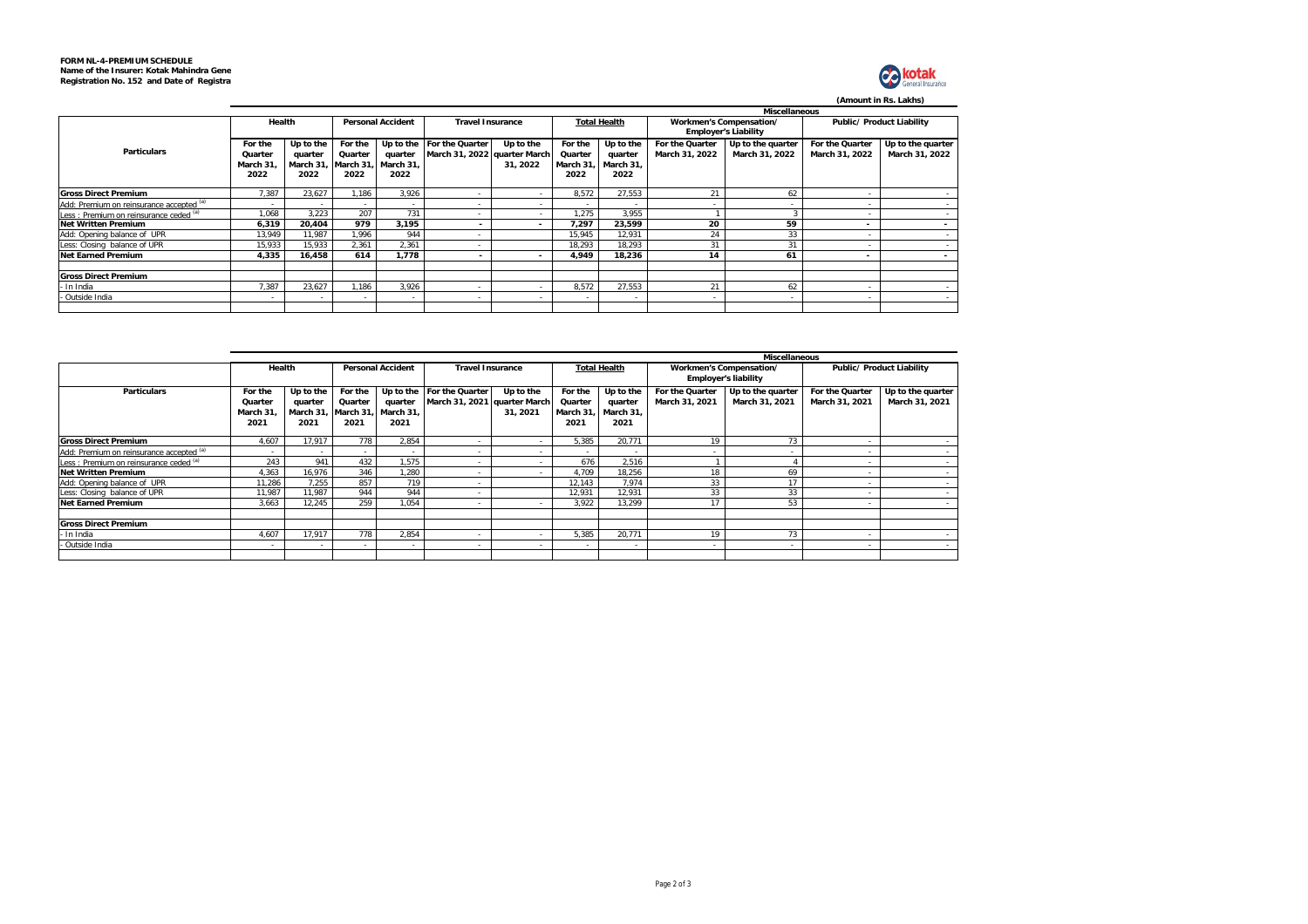

**(Amount in Rs. Lakhs)**

|                                          | <b>Miscellaneous</b> |          |          |                          |                              |                          |                     |           |                         |                             |                          |                           |  |
|------------------------------------------|----------------------|----------|----------|--------------------------|------------------------------|--------------------------|---------------------|-----------|-------------------------|-----------------------------|--------------------------|---------------------------|--|
|                                          | Health               |          |          | <b>Personal Accident</b> | <b>Travel Insurance</b>      |                          | <b>Total Health</b> |           | Workmen's Compensation/ |                             |                          | Public/ Product Liability |  |
|                                          |                      |          |          |                          |                              |                          |                     |           |                         | <b>Employer's Liability</b> |                          |                           |  |
|                                          | Up to the<br>For the |          | For the  |                          | Up to the For the Quarter    | Up to the                | For the             | Up to the | For the Quarter         | Up to the quarter           | For the Quarter          | Up to the quarter         |  |
| <b>Particulars</b>                       | Quarter              | quarter  | Quarter  | quarter                  | March 31, 2022 quarter March |                          | Quarter             | quarter   | March 31, 2022          | March 31, 2022              | March 31, 2022           | March 31, 2022            |  |
|                                          | March 31             | March 31 | March 31 | March 31,                |                              | 31, 2022                 | March 31. I         | March 31. |                         |                             |                          |                           |  |
|                                          | 2022                 | 2022     | 2022     | 2022                     |                              |                          | 2022                | 2022      |                         |                             |                          |                           |  |
|                                          |                      |          |          |                          |                              |                          |                     |           |                         |                             |                          |                           |  |
| <b>Gross Direct Premium</b>              | 7.387                | 23.627   | .186     | 3,926                    |                              |                          | 8.572               | 27,553    | 21                      | 62                          |                          |                           |  |
| Add: Premium on reinsurance accepted (a) |                      |          | $\sim$   | $\sim$                   |                              | $\sim$                   | $\sim$              |           | . .                     |                             | $\sim$                   | $\sim$                    |  |
| Less : Premium on reinsurance ceded (a)  | 1.068                | 3.223    | 207      | 731                      |                              | ۰.                       | 1.275               | 3.955     |                         |                             | $\overline{\phantom{a}}$ | $\sim$                    |  |
| <b>Net Written Premium</b>               | 6,319                | 20,404   | 979      | 3,195                    |                              | $\overline{\phantom{a}}$ | 7.297               | 23,599    | 20                      | 59                          | $\sim$                   | $\sim$                    |  |
| Add: Opening balance of UPR              | 13.949               | 11.987   | 1.996    | 944                      |                              |                          | 15.945              | 12,931    | 24                      | 33                          |                          | $\sim$                    |  |
| Less: Closing balance of UPR             | 15,933               | 15,933   | 2.361    | 2,361                    | $\sim$                       |                          | 18.293              | 18.293    | 31                      | 31                          | $\overline{\phantom{a}}$ | $\sim$                    |  |
| <b>Net Earned Premium</b>                | 4.335                | 16.458   | 614      | 1.778                    | -                            |                          | 4.949               | 18.236    | 14                      | 61                          | $\overline{\phantom{a}}$ | $\sim$                    |  |
|                                          |                      |          |          |                          |                              |                          |                     |           |                         |                             |                          |                           |  |
| <b>Gross Direct Premium</b>              |                      |          |          |                          |                              |                          |                     |           |                         |                             |                          |                           |  |
| In India                                 | 7.387                | 23.627   | .186     | 3,926                    |                              |                          | 8,572               | 27,553    | 21                      | 62                          | $\overline{\phantom{a}}$ |                           |  |
| Outside India                            |                      |          | $\sim$   | $\sim$                   | $\sim$                       | $\sim$                   | $\sim$              |           | $\sim$                  |                             | ٠                        |                           |  |
|                                          |                      |          |          |                          |                              |                          |                     |           |                         |                             |                          |                           |  |

|                                          | <b>Miscellaneous</b> |           |           |                          |                              |                         |                          |                          |                         |                             |                                  |                   |  |  |
|------------------------------------------|----------------------|-----------|-----------|--------------------------|------------------------------|-------------------------|--------------------------|--------------------------|-------------------------|-----------------------------|----------------------------------|-------------------|--|--|
|                                          | Health               |           |           | <b>Personal Accident</b> |                              | <b>Travel Insurance</b> |                          | <b>Total Health</b>      | Workmen's Compensation/ |                             | <b>Public/ Product Liability</b> |                   |  |  |
|                                          |                      |           |           |                          |                              |                         |                          |                          |                         | <b>Employer's liability</b> |                                  |                   |  |  |
| <b>Particulars</b>                       | For the              | Up to the | For the   |                          | Up to the For the Quarter    | Up to the               | For the                  | Up to the                | For the Quarter         | Up to the quarter           | For the Quarter                  | Up to the quarter |  |  |
|                                          | Quarter              | quarter   | Quarter   | auarter                  | March 31, 2021 quarter March |                         | Quarter                  | quarter                  | March 31, 2021          | March 31, 2021              | March 31, 2021                   | March 31, 2021    |  |  |
|                                          | March 31.            | March 31  | March 31. | March 31.                |                              | 31.2021                 | March 31                 | March 31.                |                         |                             |                                  |                   |  |  |
|                                          | 2021                 | 2021      | 2021      | 2021                     |                              |                         | 2021                     | 2021                     |                         |                             |                                  |                   |  |  |
| <b>Gross Direct Premium</b>              | 4.607                | 17.917    | 778       | 2,854                    |                              |                         | 5,385                    | 20.771                   | 19                      | 73                          |                                  |                   |  |  |
| Add: Premium on reinsurance accepted (a) |                      |           | $\sim$    | $\sim$                   |                              |                         | $\sim$                   |                          | ٠                       |                             | $\overline{\phantom{a}}$         |                   |  |  |
| Less: Premium on reinsurance ceded (a)   | 243                  | 941       | 432       | 1,575                    | $\sim$                       | ۰.                      | 676                      | 2,516                    |                         |                             | $\overline{\phantom{a}}$         |                   |  |  |
| <b>Net Written Premium</b>               | 4,363                | 16.976    | 346       | 1,280                    |                              | ۰.                      | 4,709                    | 18,256                   | 18                      | 69                          |                                  |                   |  |  |
| Add: Opening balance of UPR              | 11.286               | 7.255     | 857       | 719                      |                              |                         | 12,143                   | 7,974                    | 33                      |                             |                                  |                   |  |  |
| Less: Closing balance of UPR             | 11.987               | 11.987    | 944       | 944                      | $\overline{\phantom{a}}$     |                         | 12.931                   | 12.931                   | 33                      | 33                          |                                  |                   |  |  |
| <b>Net Earned Premium</b>                | 3.663                | 12.245    | 259       | 1.054                    | $\sim$                       |                         | 3.922                    | 13.299                   | 17                      |                             | $\overline{\phantom{a}}$         |                   |  |  |
|                                          |                      |           |           |                          |                              |                         |                          |                          |                         |                             |                                  |                   |  |  |
| <b>Gross Direct Premium</b>              |                      |           |           |                          |                              |                         |                          |                          |                         |                             |                                  |                   |  |  |
| In India                                 | 4.607                | 17.917    | 778       | 2.854                    | $\sim$                       |                         | 5.385                    | 20.771                   | 19                      | 73                          | $\overline{\phantom{a}}$         |                   |  |  |
| - Outside India                          |                      | ۰.        | $\sim$    | $\sim$                   |                              |                         | $\overline{\phantom{a}}$ | $\overline{\phantom{a}}$ | ٠                       |                             | $\sim$                           |                   |  |  |
|                                          |                      |           |           |                          |                              |                         |                          |                          |                         |                             |                                  |                   |  |  |